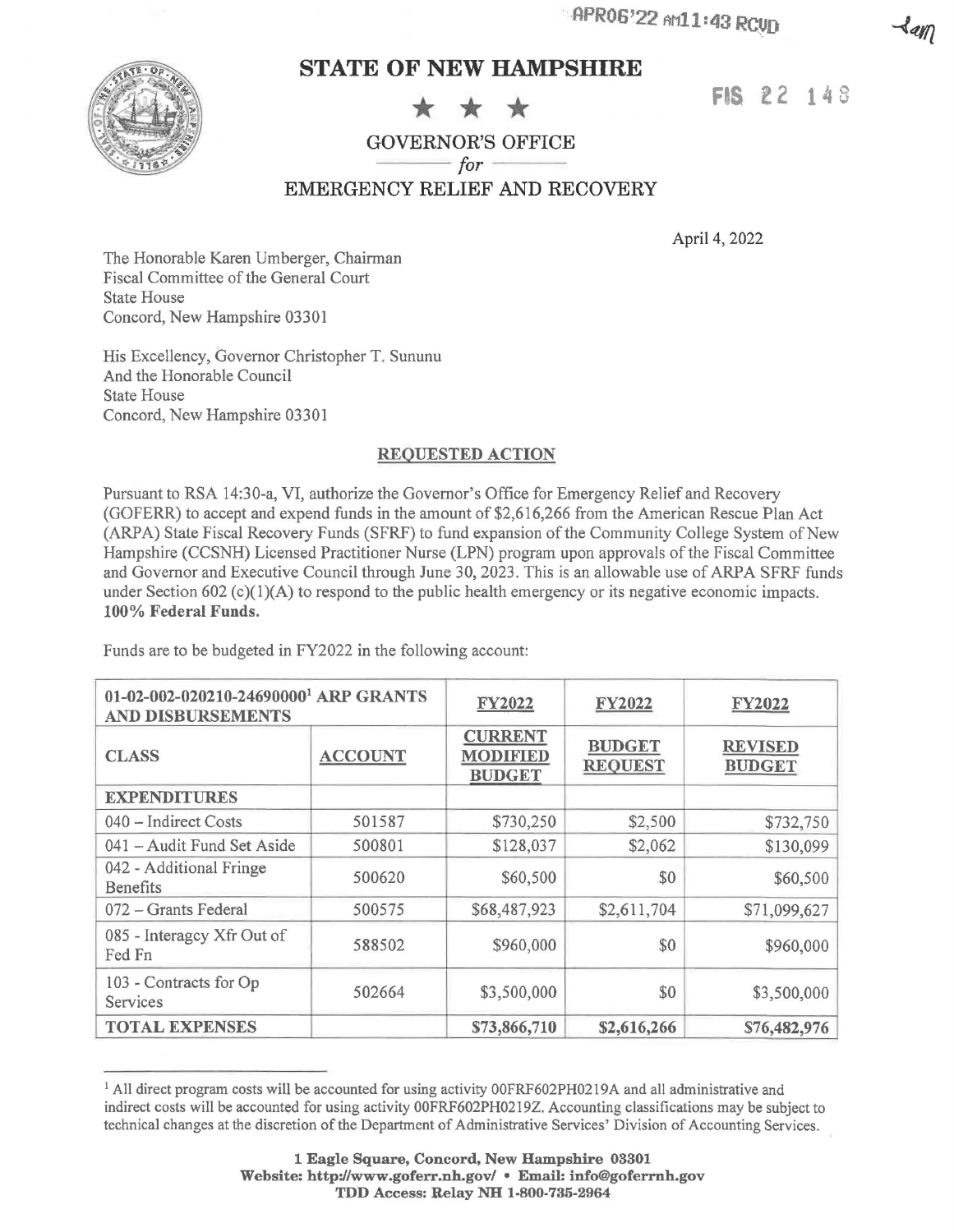

# **STATE OF NEW HAMPSHIRE**

## **FIS** *l 2* **14** 8

# $\frac{ \text{GOVERNOR'S OFFICE}}{\text{for}}$

EMERGENCY RELIEF AND RECOVERY

April 4, 2022

The Honorable Karen Umberger, Chairman Fiscal Committee of the General Court State House Concord, New Hampshire 03301

His Excellency, Governor Christopher T. Sununu And the Honorable Council State House Concord, New Hampshire 03301

### **REQUESTED ACTION**

Pursuant to RSA 14:30-a, VI, authorize the Governor's Office for Emergency Relief and Recovery (GOFERR) to accept and expend funds in the amount of \$2,616,266 from the American Rescue Plan Act (ARPA) State Fiscal Recovery Funds (SFRF) to fund expansion of the Community College System of New Hampshire (CCSNH) Licensed Practitioner Nurse (LPN) program upon approvals of the Fiscal Committee and Governor and Executive Council through June 30, 2023. This is an allowable use of ARPA SFRF funds under Section  $602$  (c)(1)(A) to respond to the public health emergency or its negative economic impacts. **100% Federal Funds.** 

Funds are to be budgeted in FY2022 in the following account:

| 01-02-002-020210-24690000 <sup>1</sup> ARP GRANTS<br><b>AND DISBURSEMENTS</b> |                | FY2022                                             | <b>FY2022</b>                   | <b>FY2022</b>                   |
|-------------------------------------------------------------------------------|----------------|----------------------------------------------------|---------------------------------|---------------------------------|
| <b>CLASS</b>                                                                  | <b>ACCOUNT</b> | <b>CURRENT</b><br><b>MODIFIED</b><br><b>BUDGET</b> | <b>BUDGET</b><br><b>REQUEST</b> | <b>REVISED</b><br><b>BUDGET</b> |
| <b>EXPENDITURES</b>                                                           |                |                                                    |                                 |                                 |
| 040 – Indirect Costs                                                          | 501587         | \$730,250                                          | \$2,500                         | \$732,750                       |
| 041 – Audit Fund Set Aside                                                    | 500801         | \$128,037                                          | \$2,062                         | \$130,099                       |
| 042 - Additional Fringe<br><b>Benefits</b>                                    | 500620         | \$60,500                                           | \$0                             | \$60,500                        |
| 072 - Grants Federal                                                          | 500575         | \$68,487,923                                       | \$2,611,704                     | \$71,099,627                    |
| 085 - Interagcy Xfr Out of<br>Fed Fn                                          | 588502         | \$960,000                                          | \$0                             | \$960,000                       |
| 103 - Contracts for Op<br>Services                                            | 502664         | \$3,500,000                                        | \$0                             | \$3,500,000                     |
| <b>TOTAL EXPENSES</b>                                                         |                | \$73,866,710                                       | \$2,616,266                     | \$76,482,976                    |

<sup>&</sup>lt;sup>1</sup> All direct program costs will be accounted for using activity 00FRF602PH0219A and all administrative and indirect costs will be accounted for using activity 00FRF602PH0219Z. Accounting classifications may be subject to technical changes at the discretion of the Department of Administrative Services' Division of Accounting Services.